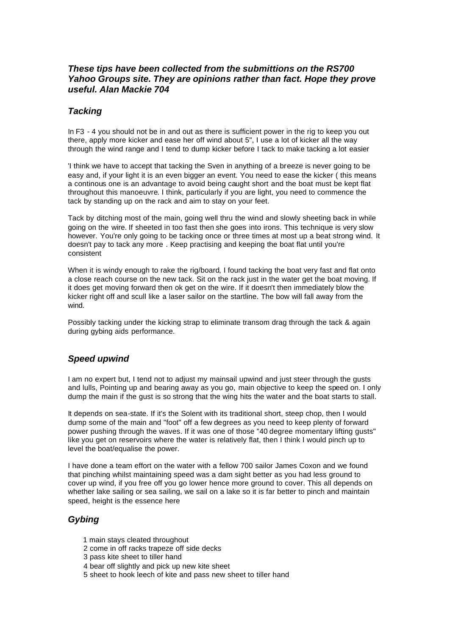# *These tips have been collected from the submittions on the RS700 Yahoo Groups site. They are opinions rather than fact. Hope they prove useful. Alan Mackie 704*

### *Tacking*

In F3 - 4 you should not be in and out as there is sufficient power in the rig to keep you out there, apply more kicker and ease her off wind about 5", I use a lot of kicker all the way through the wind range and I tend to dump kicker before I tack to make tacking a lot easier

'I think we have to accept that tacking the Sven in anything of a breeze is never going to be easy and, if your light it is an even bigger an event. You need to ease the kicker ( this means a continous one is an advantage to avoid being caught short and the boat must be kept flat throughout this manoeuvre. I think, particularly if you are light, you need to commence the tack by standing up on the rack and aim to stay on your feet.

Tack by ditching most of the main, going well thru the wind and slowly sheeting back in while going on the wire. If sheeted in too fast then she goes into irons. This technique is very slow however. You're only going to be tacking once or three times at most up a beat strong wind. It doesn't pay to tack any more . Keep practising and keeping the boat flat until you're consistent

When it is windy enough to rake the rig/board, I found tacking the boat very fast and flat onto a close reach course on the new tack. Sit on the rack just in the water get the boat moving. If it does get moving forward then ok get on the wire. If it doesn't then immediately blow the kicker right off and scull like a laser sailor on the startline. The bow will fall away from the wind.

Possibly tacking under the kicking strap to eliminate transom drag through the tack & again during gybing aids performance.

## *Speed upwind*

I am no expert but, I tend not to adjust my mainsail upwind and just steer through the gusts and lulls, Pointing up and bearing away as you go, main objective to keep the speed on. I only dump the main if the gust is so strong that the wing hits the water and the boat starts to stall.

It depends on sea-state. If it's the Solent with its traditional short, steep chop, then I would dump some of the main and "foot" off a few degrees as you need to keep plenty of forward power pushing through the waves. If it was one of those "40 degree momentary lifting gusts" like you get on reservoirs where the water is relatively flat, then I think I would pinch up to level the boat/equalise the power.

I have done a team effort on the water with a fellow 700 sailor James Coxon and we found that pinching whilst maintaining speed was a dam sight better as you had less ground to cover up wind, if you free off you go lower hence more ground to cover. This all depends on whether lake sailing or sea sailing, we sail on a lake so it is far better to pinch and maintain speed, height is the essence here

#### *Gybing*

- 1 main stays cleated throughout
- 2 come in off racks trapeze off side decks
- 3 pass kite sheet to tiller hand
- 4 bear off slightly and pick up new kite sheet
- 5 sheet to hook leech of kite and pass new sheet to tiller hand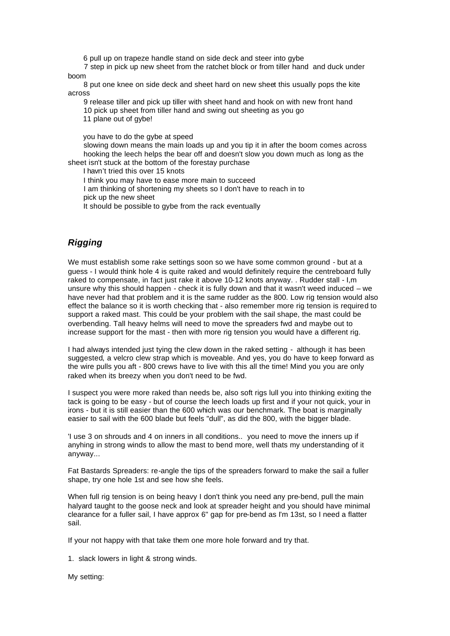6 pull up on trapeze handle stand on side deck and steer into gybe

 7 step in pick up new sheet from the ratchet block or from tiller hand and duck under boom

 8 put one knee on side deck and sheet hard on new sheet this usually pops the kite across

9 release tiller and pick up tiller with sheet hand and hook on with new front hand

10 pick up sheet from tiller hand and swing out sheeting as you go

11 plane out of gybe!

you have to do the gybe at speed

 slowing down means the main loads up and you tip it in after the boom comes across hooking the leech helps the bear off and doesn't slow you down much as long as the sheet isn't stuck at the bottom of the forestay purchase

I havn't tried this over 15 knots

I think you may have to ease more main to succeed

I am thinking of shortening my sheets so I don't have to reach in to

pick up the new sheet

It should be possible to gybe from the rack eventually

# *Rigging*

We must establish some rake settings soon so we have some common ground - but at a guess - I would think hole 4 is quite raked and would definitely require the centreboard fully raked to compensate, in fact just rake it above 10-12 knots anyway. . Rudder stall - I,m unsure why this should happen - check it is fully down and that it wasn't weed induced – we have never had that problem and it is the same rudder as the 800. Low rig tension would also effect the balance so it is worth checking that - also remember more rig tension is required to support a raked mast. This could be your problem with the sail shape, the mast could be overbending. Tall heavy helms will need to move the spreaders fwd and maybe out to increase support for the mast - then with more rig tension you would have a different rig.

I had always intended just tying the clew down in the raked setting - although it has been suggested, a velcro clew strap which is moveable. And yes, you do have to keep forward as the wire pulls you aft - 800 crews have to live with this all the time! Mind you you are only raked when its breezy when you don't need to be fwd.

I suspect you were more raked than needs be, also soft rigs lull you into thinking exiting the tack is going to be easy - but of course the leech loads up first and if your not quick, your in irons - but it is still easier than the 600 which was our benchmark. The boat is marginally easier to sail with the 600 blade but feels "dull", as did the 800, with the bigger blade.

'I use 3 on shrouds and 4 on inners in all conditions.. you need to move the inners up if anyhing in strong winds to allow the mast to bend more, well thats my understanding of it anyway...

Fat Bastards Spreaders: re-angle the tips of the spreaders forward to make the sail a fuller shape, try one hole 1st and see how she feels.

When full rig tension is on being heavy I don't think you need any pre-bend, pull the main halyard taught to the goose neck and look at spreader height and you should have minimal clearance for a fuller sail, I have approx 6" gap for pre-bend as I'm 13st, so I need a flatter sail.

If your not happy with that take them one more hole forward and try that.

1. slack lowers in light & strong winds.

My setting: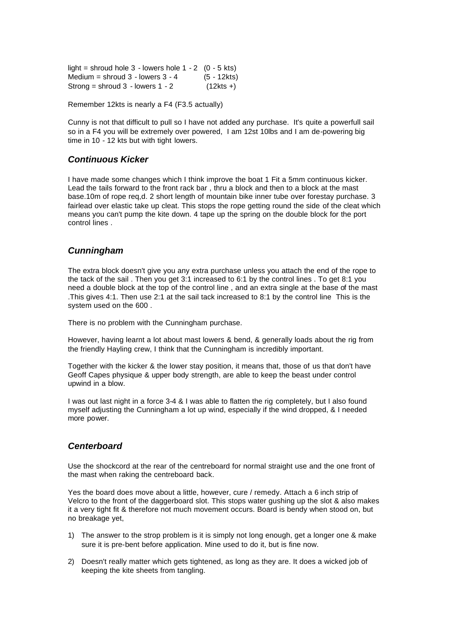| light = shroud hole $3$ - lowers hole $1 - 2$ (0 - 5 kts) |              |
|-----------------------------------------------------------|--------------|
| Medium = shroud $3$ - lowers $3 - 4$                      | (5 - 12kts)  |
| Strong = shroud $3 -$ lowers $1 - 2$                      | $(12kts + )$ |

Remember 12kts is nearly a F4 (F3.5 actually)

Cunny is not that difficult to pull so I have not added any purchase. It's quite a powerfull sail so in a F4 you will be extremely over powered, I am 12st 10lbs and I am de-powering big time in 10 - 12 kts but with tight lowers.

#### *Continuous Kicker*

I have made some changes which I think improve the boat 1 Fit a 5mm continuous kicker. Lead the tails forward to the front rack bar , thru a block and then to a block at the mast base.10m of rope req,d. 2 short length of mountain bike inner tube over forestay purchase. 3 fairlead over elastic take up cleat. This stops the rope getting round the side of the cleat which means you can't pump the kite down. 4 tape up the spring on the double block for the port control lines .

#### *Cunningham*

The extra block doesn't give you any extra purchase unless you attach the end of the rope to the tack of the sail . Then you get 3:1 increased to 6:1 by the control lines . To get 8:1 you need a double block at the top of the control line , and an extra single at the base of the mast .This gives 4:1. Then use 2:1 at the sail tack increased to 8:1 by the control line This is the system used on the 600 .

There is no problem with the Cunningham purchase.

However, having learnt a lot about mast lowers & bend, & generally loads about the rig from the friendly Hayling crew, I think that the Cunningham is incredibly important.

Together with the kicker & the lower stay position, it means that, those of us that don't have Geoff Capes physique & upper body strength, are able to keep the beast under control upwind in a blow.

I was out last night in a force 3-4 & I was able to flatten the rig completely, but I also found myself adjusting the Cunningham a lot up wind, especially if the wind dropped, & I needed more power.

#### *Centerboard*

Use the shockcord at the rear of the centreboard for normal straight use and the one front of the mast when raking the centreboard back.

Yes the board does move about a little, however, cure / remedy. Attach a 6 inch strip of Velcro to the front of the daggerboard slot. This stops water gushing up the slot & also makes it a very tight fit & therefore not much movement occurs. Board is bendy when stood on, but no breakage yet,

- 1) The answer to the strop problem is it is simply not long enough, get a longer one & make sure it is pre-bent before application. Mine used to do it, but is fine now.
- 2) Doesn't really matter which gets tightened, as long as they are. It does a wicked job of keeping the kite sheets from tangling.